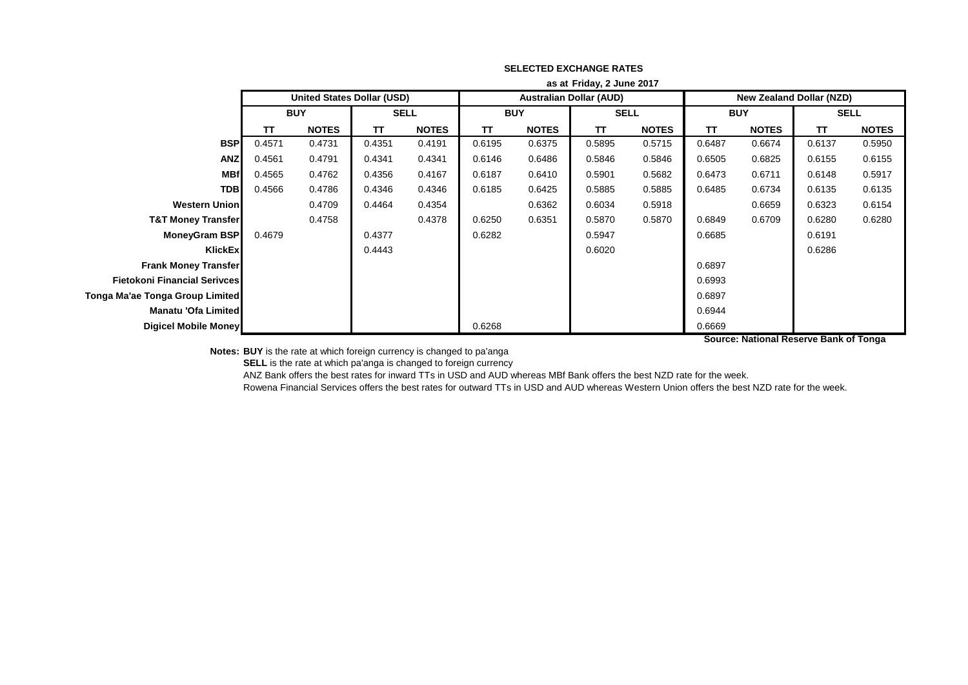|                                     | as at Friday, 2 June 2017 |                                   |             |              |            |              |                                |              |                                 |              |             |              |
|-------------------------------------|---------------------------|-----------------------------------|-------------|--------------|------------|--------------|--------------------------------|--------------|---------------------------------|--------------|-------------|--------------|
|                                     |                           | <b>United States Dollar (USD)</b> |             |              |            |              | <b>Australian Dollar (AUD)</b> |              | <b>New Zealand Dollar (NZD)</b> |              |             |              |
|                                     | <b>BUY</b>                |                                   | <b>SELL</b> |              | <b>BUY</b> |              | <b>SELL</b>                    |              | <b>BUY</b>                      |              | <b>SELL</b> |              |
|                                     | TΤ                        | <b>NOTES</b>                      | π           | <b>NOTES</b> | TΤ         | <b>NOTES</b> | TΤ                             | <b>NOTES</b> | <b>TT</b>                       | <b>NOTES</b> | π           | <b>NOTES</b> |
| <b>BSP</b>                          | 0.4571                    | 0.4731                            | 0.4351      | 0.4191       | 0.6195     | 0.6375       | 0.5895                         | 0.5715       | 0.6487                          | 0.6674       | 0.6137      | 0.5950       |
| <b>ANZ</b>                          | 0.4561                    | 0.4791                            | 0.4341      | 0.4341       | 0.6146     | 0.6486       | 0.5846                         | 0.5846       | 0.6505                          | 0.6825       | 0.6155      | 0.6155       |
| <b>MBf</b>                          | 0.4565                    | 0.4762                            | 0.4356      | 0.4167       | 0.6187     | 0.6410       | 0.5901                         | 0.5682       | 0.6473                          | 0.6711       | 0.6148      | 0.5917       |
| <b>TDB</b>                          | 0.4566                    | 0.4786                            | 0.4346      | 0.4346       | 0.6185     | 0.6425       | 0.5885                         | 0.5885       | 0.6485                          | 0.6734       | 0.6135      | 0.6135       |
| <b>Western Union</b>                |                           | 0.4709                            | 0.4464      | 0.4354       |            | 0.6362       | 0.6034                         | 0.5918       |                                 | 0.6659       | 0.6323      | 0.6154       |
| <b>T&amp;T Money Transfer</b>       |                           | 0.4758                            |             | 0.4378       | 0.6250     | 0.6351       | 0.5870                         | 0.5870       | 0.6849                          | 0.6709       | 0.6280      | 0.6280       |
| MoneyGram BSP                       | 0.4679                    |                                   | 0.4377      |              | 0.6282     |              | 0.5947                         |              | 0.6685                          |              | 0.6191      |              |
| KlickEx                             |                           |                                   | 0.4443      |              |            |              | 0.6020                         |              |                                 |              | 0.6286      |              |
| <b>Frank Money Transfer</b>         |                           |                                   |             |              |            |              |                                |              | 0.6897                          |              |             |              |
| <b>Fietokoni Financial Serivces</b> |                           |                                   |             |              |            |              |                                |              | 0.6993                          |              |             |              |
| Tonga Ma'ae Tonga Group Limited     |                           |                                   |             |              |            |              |                                |              | 0.6897                          |              |             |              |
| Manatu 'Ofa Limited                 |                           |                                   |             |              |            |              |                                |              | 0.6944                          |              |             |              |
| <b>Digicel Mobile Money</b>         |                           |                                   |             |              | 0.6268     |              |                                |              | 0.6669                          |              |             |              |

**Source: National Reserve Bank of Tonga**

**Notes: BUY** is the rate at which foreign currency is changed to pa'anga

**SELL** is the rate at which pa'anga is changed to foreign currency

ANZ Bank offers the best rates for inward TTs in USD and AUD whereas MBf Bank offers the best NZD rate for the week.

Rowena Financial Services offers the best rates for outward TTs in USD and AUD whereas Western Union offers the best NZD rate for the week.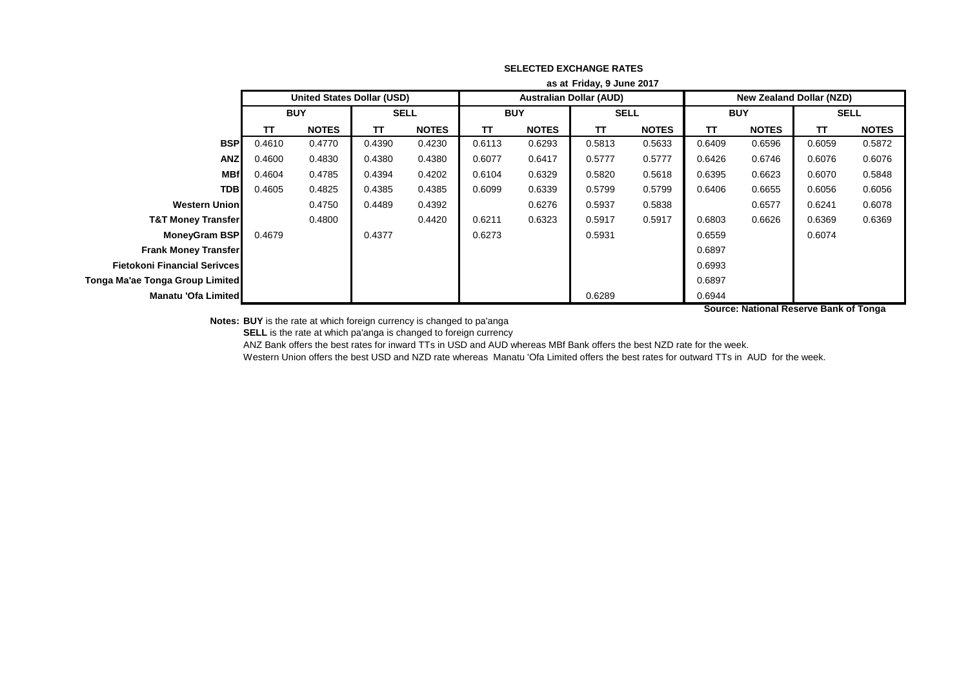|                                     | as at Friday, 9 June 2017 |                            |              |              |            |              |                                |              |                                 |                                        |             |              |  |
|-------------------------------------|---------------------------|----------------------------|--------------|--------------|------------|--------------|--------------------------------|--------------|---------------------------------|----------------------------------------|-------------|--------------|--|
|                                     |                           | United States Dollar (USD) |              |              |            |              | <b>Australian Dollar (AUD)</b> |              | <b>New Zealand Dollar (NZD)</b> |                                        |             |              |  |
|                                     | <b>BUY</b>                |                            | <b>SELL</b>  |              | <b>BUY</b> |              | <b>SELL</b>                    |              | <b>BUY</b>                      |                                        | <b>SELL</b> |              |  |
|                                     | <b>TT</b>                 | <b>NOTES</b>               | $\mathbf{T}$ | <b>NOTES</b> | <b>TT</b>  | <b>NOTES</b> | TΤ                             | <b>NOTES</b> | <b>TT</b>                       | <b>NOTES</b>                           | TΤ          | <b>NOTES</b> |  |
| <b>BSP</b>                          | 0.4610                    | 0.4770                     | 0.4390       | 0.4230       | 0.6113     | 0.6293       | 0.5813                         | 0.5633       | 0.6409                          | 0.6596                                 | 0.6059      | 0.5872       |  |
| <b>ANZ</b>                          | 0.4600                    | 0.4830                     | 0.4380       | 0.4380       | 0.6077     | 0.6417       | 0.5777                         | 0.5777       | 0.6426                          | 0.6746                                 | 0.6076      | 0.6076       |  |
| <b>MBf</b>                          | 0.4604                    | 0.4785                     | 0.4394       | 0.4202       | 0.6104     | 0.6329       | 0.5820                         | 0.5618       | 0.6395                          | 0.6623                                 | 0.6070      | 0.5848       |  |
| <b>TDB</b>                          | 0.4605                    | 0.4825                     | 0.4385       | 0.4385       | 0.6099     | 0.6339       | 0.5799                         | 0.5799       | 0.6406                          | 0.6655                                 | 0.6056      | 0.6056       |  |
| <b>Western Union</b>                |                           | 0.4750                     | 0.4489       | 0.4392       |            | 0.6276       | 0.5937                         | 0.5838       |                                 | 0.6577                                 | 0.6241      | 0.6078       |  |
| <b>T&amp;T Money Transfer</b>       |                           | 0.4800                     |              | 0.4420       | 0.6211     | 0.6323       | 0.5917                         | 0.5917       | 0.6803                          | 0.6626                                 | 0.6369      | 0.6369       |  |
| <b>MoneyGram BSP</b>                | 0.4679                    |                            | 0.4377       |              | 0.6273     |              | 0.5931                         |              | 0.6559                          |                                        | 0.6074      |              |  |
| <b>Frank Money Transfer</b>         |                           |                            |              |              |            |              |                                |              | 0.6897                          |                                        |             |              |  |
| <b>Fietokoni Financial Serivces</b> |                           |                            |              |              |            |              |                                |              | 0.6993                          |                                        |             |              |  |
| Tonga Ma'ae Tonga Group Limited     |                           |                            |              |              |            |              |                                |              | 0.6897                          |                                        |             |              |  |
| Manatu 'Ofa Limited                 |                           |                            |              |              |            |              | 0.6289                         |              | 0.6944                          |                                        |             |              |  |
|                                     |                           |                            |              |              |            |              |                                |              |                                 | Source: National Reserve Bank of Tonga |             |              |  |

**Notes: BUY** is the rate at which foreign currency is changed to pa'anga

**SELL** is the rate at which pa'anga is changed to foreign currency

ANZ Bank offers the best rates for inward TTs in USD and AUD whereas MBf Bank offers the best NZD rate for the week.

Western Union offers the best USD and NZD rate whereas Manatu 'Ofa Limited offers the best rates for outward TTs in AUD for the week.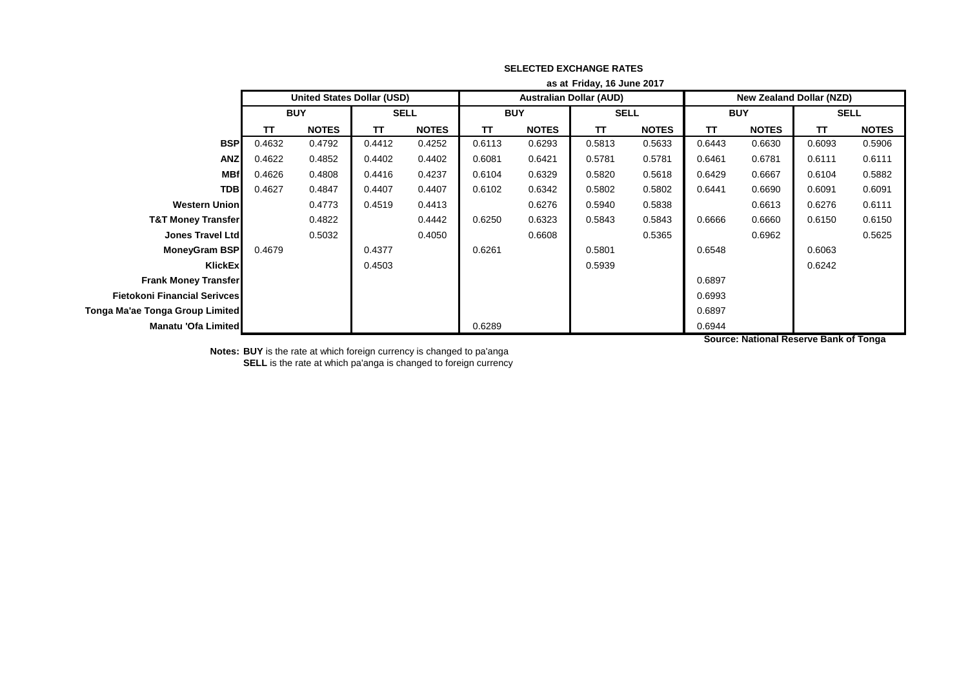|                                 | as at Friday, 16 June 2017 |                                   |             |              |            |              |                                |              |                                 |              |             |              |
|---------------------------------|----------------------------|-----------------------------------|-------------|--------------|------------|--------------|--------------------------------|--------------|---------------------------------|--------------|-------------|--------------|
|                                 |                            | <b>United States Dollar (USD)</b> |             |              |            |              | <b>Australian Dollar (AUD)</b> |              | <b>New Zealand Dollar (NZD)</b> |              |             |              |
|                                 | <b>BUY</b>                 |                                   | <b>SELL</b> |              | <b>BUY</b> |              | <b>SELL</b>                    |              | <b>BUY</b>                      |              | <b>SELL</b> |              |
|                                 | ΤT                         | <b>NOTES</b>                      | π           | <b>NOTES</b> | ΤT         | <b>NOTES</b> | ΤT                             | <b>NOTES</b> | <b>TT</b>                       | <b>NOTES</b> | π           | <b>NOTES</b> |
| <b>BSP</b>                      | 0.4632                     | 0.4792                            | 0.4412      | 0.4252       | 0.6113     | 0.6293       | 0.5813                         | 0.5633       | 0.6443                          | 0.6630       | 0.6093      | 0.5906       |
| <b>ANZ</b>                      | 0.4622                     | 0.4852                            | 0.4402      | 0.4402       | 0.6081     | 0.6421       | 0.5781                         | 0.5781       | 0.6461                          | 0.6781       | 0.6111      | 0.6111       |
| <b>MBf</b>                      | 0.4626                     | 0.4808                            | 0.4416      | 0.4237       | 0.6104     | 0.6329       | 0.5820                         | 0.5618       | 0.6429                          | 0.6667       | 0.6104      | 0.5882       |
| <b>TDB</b>                      | 0.4627                     | 0.4847                            | 0.4407      | 0.4407       | 0.6102     | 0.6342       | 0.5802                         | 0.5802       | 0.6441                          | 0.6690       | 0.6091      | 0.6091       |
| <b>Western Union</b>            |                            | 0.4773                            | 0.4519      | 0.4413       |            | 0.6276       | 0.5940                         | 0.5838       |                                 | 0.6613       | 0.6276      | 0.6111       |
| <b>T&amp;T Money Transfer</b>   |                            | 0.4822                            |             | 0.4442       | 0.6250     | 0.6323       | 0.5843                         | 0.5843       | 0.6666                          | 0.6660       | 0.6150      | 0.6150       |
| <b>Jones Travel Ltd</b>         |                            | 0.5032                            |             | 0.4050       |            | 0.6608       |                                | 0.5365       |                                 | 0.6962       |             | 0.5625       |
| <b>MoneyGram BSP</b>            | 0.4679                     |                                   | 0.4377      |              | 0.6261     |              | 0.5801                         |              | 0.6548                          |              | 0.6063      |              |
| KlickEx                         |                            |                                   | 0.4503      |              |            |              | 0.5939                         |              |                                 |              | 0.6242      |              |
| <b>Frank Money Transfer</b>     |                            |                                   |             |              |            |              |                                |              | 0.6897                          |              |             |              |
| Fietokoni Financial Serivces    |                            |                                   |             |              |            |              |                                |              | 0.6993                          |              |             |              |
| Tonga Ma'ae Tonga Group Limited |                            |                                   |             |              |            |              |                                |              | 0.6897                          |              |             |              |
| <b>Manatu 'Ofa Limited</b>      |                            |                                   |             |              | 0.6289     |              |                                |              | 0.6944                          |              |             |              |

**Source: National Reserve Bank of Tonga**

**Notes: BUY** is the rate at which foreign currency is changed to pa'anga

**SELL** is the rate at which pa'anga is changed to foreign currency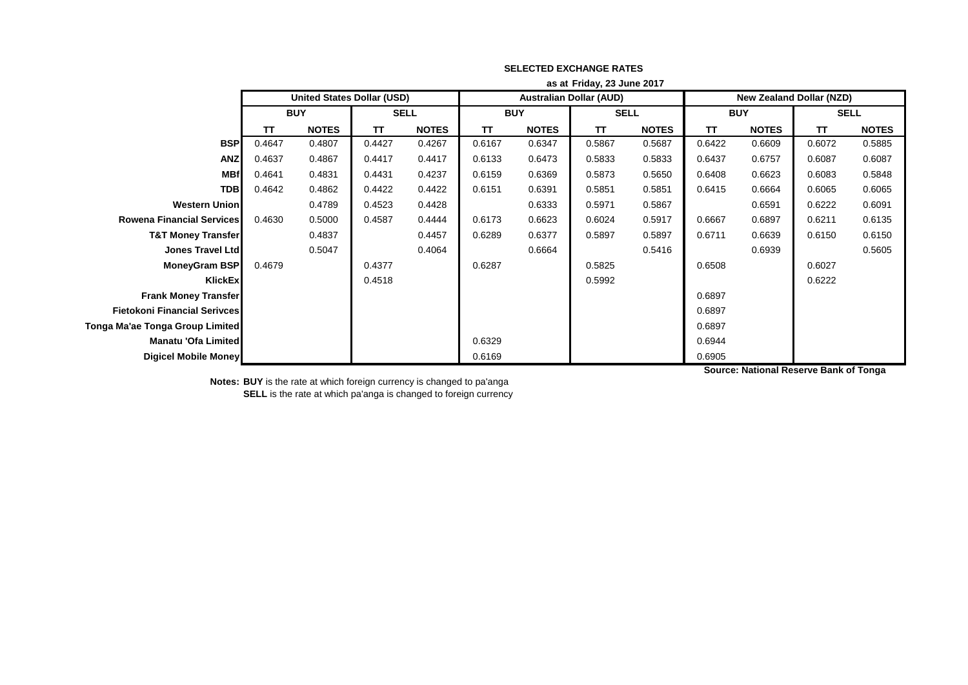|                                     | as at Friday, 23 June 2017        |              |             |              |            |              |                                |              |                                 |              |             |              |
|-------------------------------------|-----------------------------------|--------------|-------------|--------------|------------|--------------|--------------------------------|--------------|---------------------------------|--------------|-------------|--------------|
|                                     | <b>United States Dollar (USD)</b> |              |             |              |            |              | <b>Australian Dollar (AUD)</b> |              | <b>New Zealand Dollar (NZD)</b> |              |             |              |
|                                     | <b>BUY</b>                        |              | <b>SELL</b> |              | <b>BUY</b> |              | <b>SELL</b>                    |              | <b>BUY</b>                      |              | <b>SELL</b> |              |
|                                     | ΤT                                | <b>NOTES</b> | T           | <b>NOTES</b> | TΤ         | <b>NOTES</b> | ΤT                             | <b>NOTES</b> | <b>TT</b>                       | <b>NOTES</b> | TΤ          | <b>NOTES</b> |
| <b>BSP</b>                          | 0.4647                            | 0.4807       | 0.4427      | 0.4267       | 0.6167     | 0.6347       | 0.5867                         | 0.5687       | 0.6422                          | 0.6609       | 0.6072      | 0.5885       |
| <b>ANZ</b>                          | 0.4637                            | 0.4867       | 0.4417      | 0.4417       | 0.6133     | 0.6473       | 0.5833                         | 0.5833       | 0.6437                          | 0.6757       | 0.6087      | 0.6087       |
| <b>MBf</b>                          | 0.4641                            | 0.4831       | 0.4431      | 0.4237       | 0.6159     | 0.6369       | 0.5873                         | 0.5650       | 0.6408                          | 0.6623       | 0.6083      | 0.5848       |
| <b>TDB</b>                          | 0.4642                            | 0.4862       | 0.4422      | 0.4422       | 0.6151     | 0.6391       | 0.5851                         | 0.5851       | 0.6415                          | 0.6664       | 0.6065      | 0.6065       |
| <b>Western Union</b>                |                                   | 0.4789       | 0.4523      | 0.4428       |            | 0.6333       | 0.5971                         | 0.5867       |                                 | 0.6591       | 0.6222      | 0.6091       |
| <b>Rowena Financial Services</b>    | 0.4630                            | 0.5000       | 0.4587      | 0.4444       | 0.6173     | 0.6623       | 0.6024                         | 0.5917       | 0.6667                          | 0.6897       | 0.6211      | 0.6135       |
| <b>T&amp;T Money Transfer</b>       |                                   | 0.4837       |             | 0.4457       | 0.6289     | 0.6377       | 0.5897                         | 0.5897       | 0.6711                          | 0.6639       | 0.6150      | 0.6150       |
| <b>Jones Travel Ltd</b>             |                                   | 0.5047       |             | 0.4064       |            | 0.6664       |                                | 0.5416       |                                 | 0.6939       |             | 0.5605       |
| MoneyGram BSP                       | 0.4679                            |              | 0.4377      |              | 0.6287     |              | 0.5825                         |              | 0.6508                          |              | 0.6027      |              |
| KlickEx                             |                                   |              | 0.4518      |              |            |              | 0.5992                         |              |                                 |              | 0.6222      |              |
| <b>Frank Money Transfer</b>         |                                   |              |             |              |            |              |                                |              | 0.6897                          |              |             |              |
| <b>Fietokoni Financial Serivces</b> |                                   |              |             |              |            |              |                                |              | 0.6897                          |              |             |              |
| Tonga Ma'ae Tonga Group Limited     |                                   |              |             |              |            |              |                                |              | 0.6897                          |              |             |              |
| Manatu 'Ofa Limited                 |                                   |              |             |              | 0.6329     |              |                                |              | 0.6944                          |              |             |              |
| Digicel Mobile Money                |                                   |              |             |              | 0.6169     |              |                                |              | 0.6905                          |              |             |              |

**Source: National Reserve Bank of Tonga**

**Notes: BUY** is the rate at which foreign currency is changed to pa'anga **SELL** is the rate at which pa'anga is changed to foreign currency